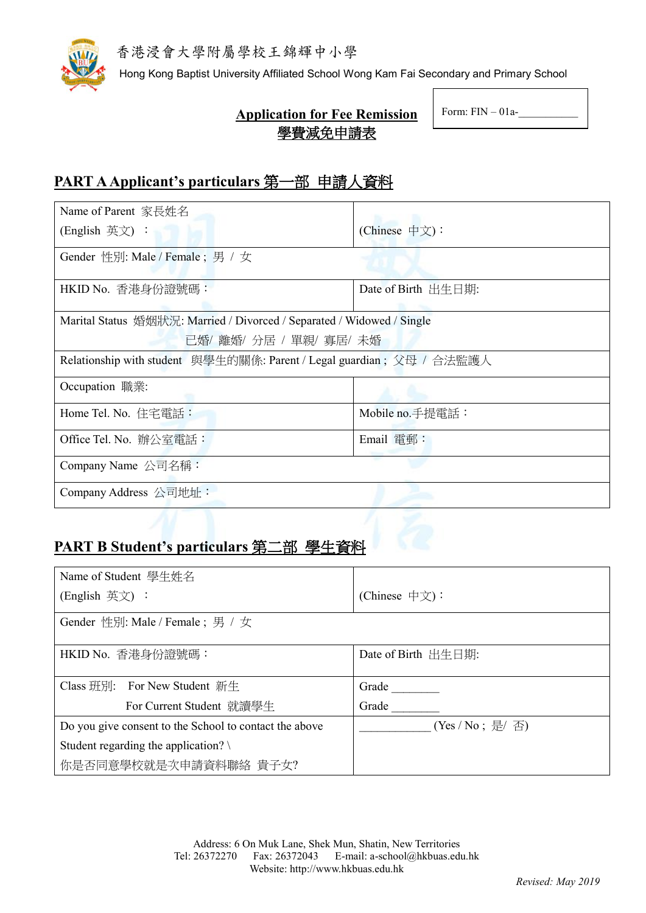

Hong Kong Baptist University Affiliated School Wong Kam Fai Secondary and Primary School

# **Application for Fee Remission** 學費減免申請表

Form:  $FIN - 01a$ -

# **PART AApplicant's particulars** 第一部 申請人資料

| Name of Parent 家長姓名                                                    |                     |  |
|------------------------------------------------------------------------|---------------------|--|
| (English 英文):                                                          | (Chinese 中文):       |  |
| Gender 性別: Male / Female; 男 / 女                                        |                     |  |
| HKID No. 香港身份證號碼:                                                      | Date of Birth 出生日期: |  |
| Marital Status 婚姻狀況: Married / Divorced / Separated / Widowed / Single |                     |  |
| 已婚/離婚/分居 / 單親/ 寡居/ 未婚                                                  |                     |  |
| Relationship with student 與學生的關係: Parent / Legal guardian; 父母 / 合法監護人  |                     |  |
| Occupation 職業:                                                         |                     |  |
| Home Tel. No. 住宅電話:                                                    | Mobile no.手提電話:     |  |
| Office Tel. No. 辦公室電話:                                                 | $E$ mail 電郵:        |  |
| Company Name $\triangle \exists \hat{A}$ 稱:                            |                     |  |
| Company Address 公司地址:                                                  |                     |  |

# **PART B Student's particulars** 第二部 學生資料

| Name of Student 學生姓名                                   |                     |
|--------------------------------------------------------|---------------------|
| (English 英文):                                          | (Chinese 中文):       |
| Gender 性別: Male / Female; 男 / 女                        |                     |
| HKID No. 香港身份證號碼:                                      | Date of Birth 出生日期: |
| Class 班別: For New Student 新生                           | Grade               |
| For Current Student 就讀學生                               | Grade               |
| Do you give consent to the School to contact the above | (Yes / No; 是/ 否)    |
| Student regarding the application? $\setminus$         |                     |
| 你是否同意學校就是次申請資料聯絡 貴子女?                                  |                     |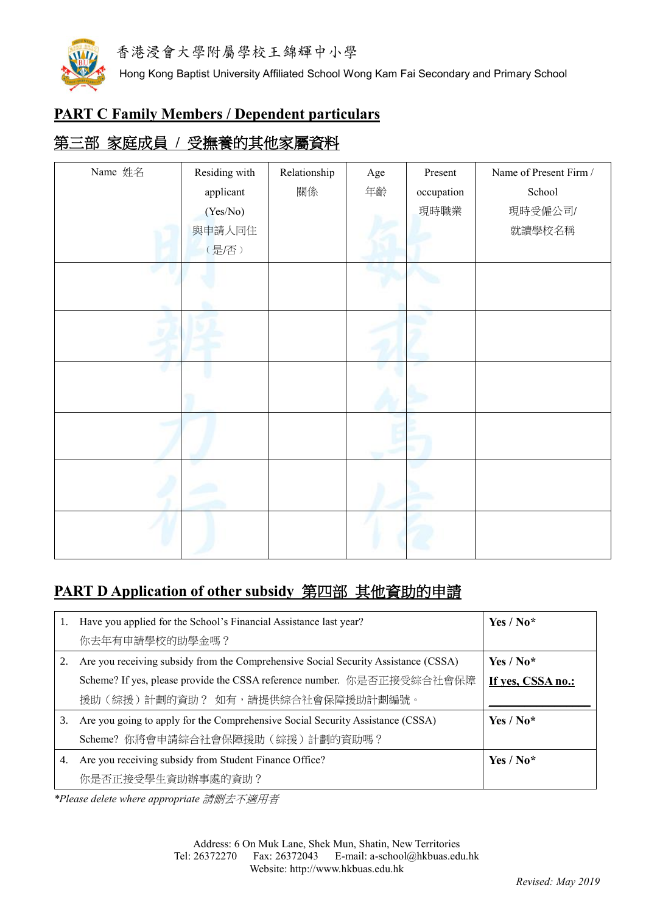

Hong Kong Baptist University Affiliated School Wong Kam Fai Secondary and Primary School

### **PART C Family Members / Dependent particulars**

# 第三部 家庭成員 **/** 受撫養的其他家屬資料

| Name 姓名 | Residing with | Relationship | $\rm Age$ | Present    | Name of Present Firm / |
|---------|---------------|--------------|-----------|------------|------------------------|
|         | applicant     | 關係           | 年齡        | occupation | School                 |
|         | (Yes/No)      |              |           | 現時職業       | 現時受僱公司/                |
|         | 與申請人同住        |              |           |            | 就讀學校名稱                 |
|         | (是/否)         |              |           |            |                        |
|         |               |              |           |            |                        |
|         |               |              |           |            |                        |
|         |               |              |           |            |                        |
|         |               |              |           |            |                        |
|         |               |              |           |            |                        |
|         |               |              |           |            |                        |
|         |               |              |           |            |                        |
|         |               |              |           |            |                        |
|         |               |              |           |            |                        |
|         |               |              |           |            |                        |
|         |               |              |           |            |                        |
|         |               |              |           |            |                        |

# **PART D Application of other subsidy** 第四部 其他資助的申請

| 1. | Have you applied for the School's Financial Assistance last year?                  | Yes / $No*$       |
|----|------------------------------------------------------------------------------------|-------------------|
|    | 你去年有申請學校的助學金嗎?                                                                     |                   |
| 2. | Are you receiving subsidy from the Comprehensive Social Security Assistance (CSSA) | Yes / $No*$       |
|    | Scheme? If yes, please provide the CSSA reference number. 你是否正接受綜合社會保障             | If yes, CSSA no.: |
|    | 援助 (綜援)計劃的資助? 如有,請提供綜合社會保障援助計劃編號。                                                  |                   |
| 3. | Are you going to apply for the Comprehensive Social Security Assistance (CSSA)     | Yes / $No*$       |
|    | Scheme? 你將會申請綜合社會保障援助(綜援)計劃的資助嗎?                                                   |                   |
| 4. | Are you receiving subsidy from Student Finance Office?                             | Yes / $No*$       |
|    | 你是否正接受學生資助辦事處的資助?                                                                  |                   |

*\*Please delete where appropriate* 請刪去不適用者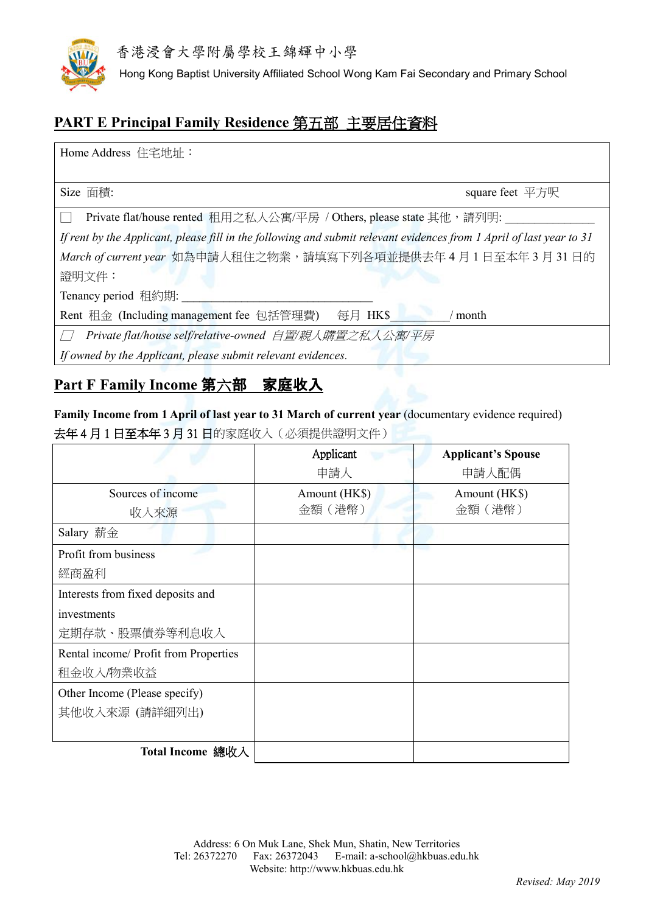

Hong Kong Baptist University Affiliated School Wong Kam Fai Secondary and Primary School

# **PART E Principal Family Residence** 第五部 主要居住資料

Home Address 住宅地址:

Size 面積: the square feet 平方呎 square feet 平方呎

□ Private flat/house rented 租用之私人公寓/平房 / Others, please state 其他, 請列明:

*If rent by the Applicant, please fill in the following and submit relevant evidences from 1 April of last year to 31 March of current year* 如為申請人租住之物業,請填寫下列各項並提供去年 4 月 1 日至本年 3 月 31 日的 證明文件:

Tenancy period 租約期:

Rent 租金 (Including management fee 包括管理費) 每月 HK\$ / month

□ *Private flat/house self/relative-owned* 自置*/*親人購置之私人公寓*/*平房

*If owned by the Applicant, please submit relevant evidences.*

### **Part F Family Income** 第六部 家庭收入

**Family Income from 1 April of last year to 31 March of current year** (documentary evidence required) 去年 4 月 1 日至本年 3 月 31 日的家庭收入(必須提供證明文件)

|                                       | Applicant     | <b>Applicant's Spouse</b> |
|---------------------------------------|---------------|---------------------------|
|                                       | 申請人           | 申請人配偶                     |
| Sources of income                     | Amount (HK\$) | Amount (HK\$)             |
| 收入來源                                  | 金額 (港幣)       | 金額 (港幣)                   |
| Salary 薪金                             |               |                           |
| Profit from business                  |               |                           |
| 經商盈利                                  |               |                           |
| Interests from fixed deposits and     |               |                           |
| investments                           |               |                           |
| 定期存款、股票債券等利息收入                        |               |                           |
| Rental income/ Profit from Properties |               |                           |
| 租金收入/物業收益                             |               |                           |
| Other Income (Please specify)         |               |                           |
| 其他收入來源 (請詳細列出)                        |               |                           |
|                                       |               |                           |
| Total Income 總收入                      |               |                           |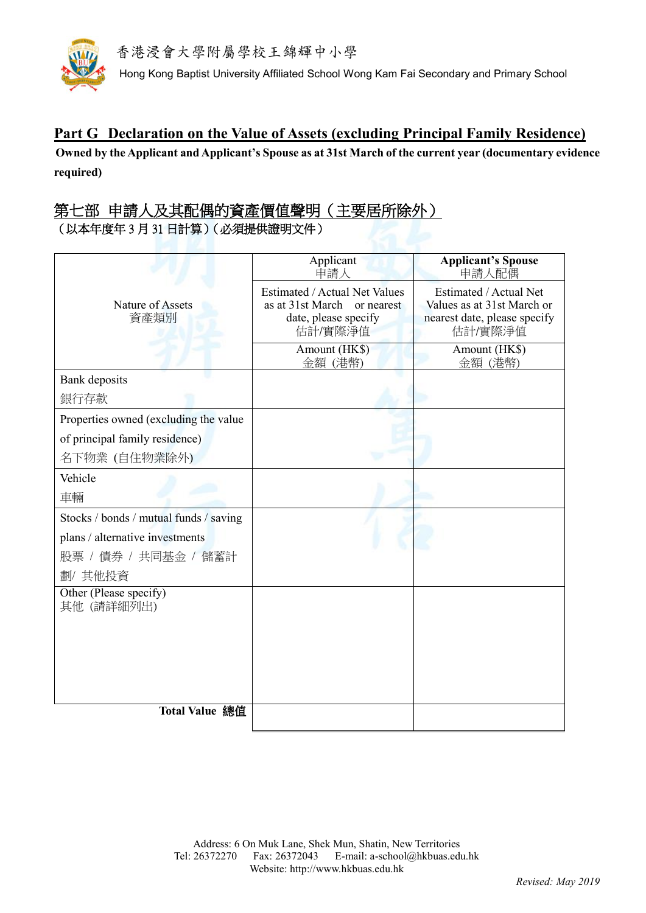

Hong Kong Baptist University Affiliated School Wong Kam Fai Secondary and Primary School

#### **Part G Declaration on the Value of Assets (excluding Principal Family Residence)**

**Owned by the Applicant and Applicant's Spouse as at 31st March of the current year (documentary evidence required)**

### 第七部 申請人及其配偶的資產價值聲明(主要居所除外) (以本年度年 3 月 31 日計算)(必須提供證明文件)

| Applicant<br>申請人                                                                                          | <b>Applicant's Spouse</b><br>申請人配偶                                                              |
|-----------------------------------------------------------------------------------------------------------|-------------------------------------------------------------------------------------------------|
| <b>Estimated / Actual Net Values</b><br>as at 31st March<br>or nearest<br>date, please specify<br>估計/實際淨值 | Estimated / Actual Net<br>Values as at 31st March or<br>nearest date, please specify<br>估計/實際淨值 |
| Amount (HK\$)<br>金額 (港幣)                                                                                  | Amount (HK\$)<br>金額 (港幣)                                                                        |
|                                                                                                           |                                                                                                 |
|                                                                                                           |                                                                                                 |
|                                                                                                           |                                                                                                 |
|                                                                                                           |                                                                                                 |
|                                                                                                           |                                                                                                 |
|                                                                                                           |                                                                                                 |
|                                                                                                           |                                                                                                 |
|                                                                                                           |                                                                                                 |
|                                                                                                           |                                                                                                 |
|                                                                                                           |                                                                                                 |
|                                                                                                           |                                                                                                 |
|                                                                                                           |                                                                                                 |
|                                                                                                           |                                                                                                 |
|                                                                                                           |                                                                                                 |
|                                                                                                           |                                                                                                 |
|                                                                                                           |                                                                                                 |
|                                                                                                           |                                                                                                 |
|                                                                                                           |                                                                                                 |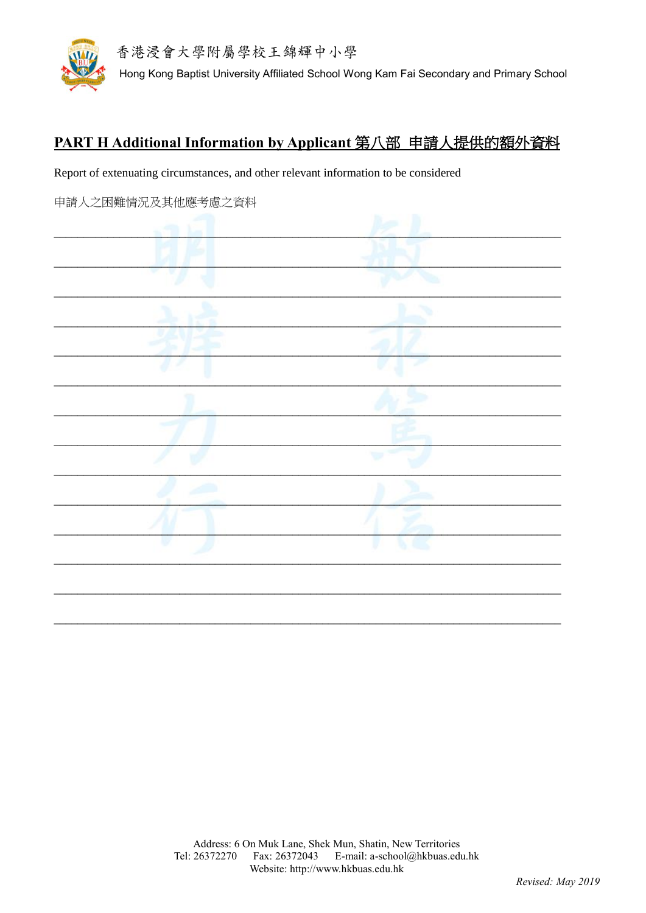

# PART H Additional Information by Applicant 第八部 申請人提供的額外資料

Report of extenuating circumstances, and other relevant information to be considered

| 申請人之困難情況及其他應考慮之資料 |  |
|-------------------|--|
|                   |  |
|                   |  |
|                   |  |
|                   |  |
|                   |  |
|                   |  |
|                   |  |
|                   |  |
|                   |  |
|                   |  |
|                   |  |
|                   |  |
|                   |  |
|                   |  |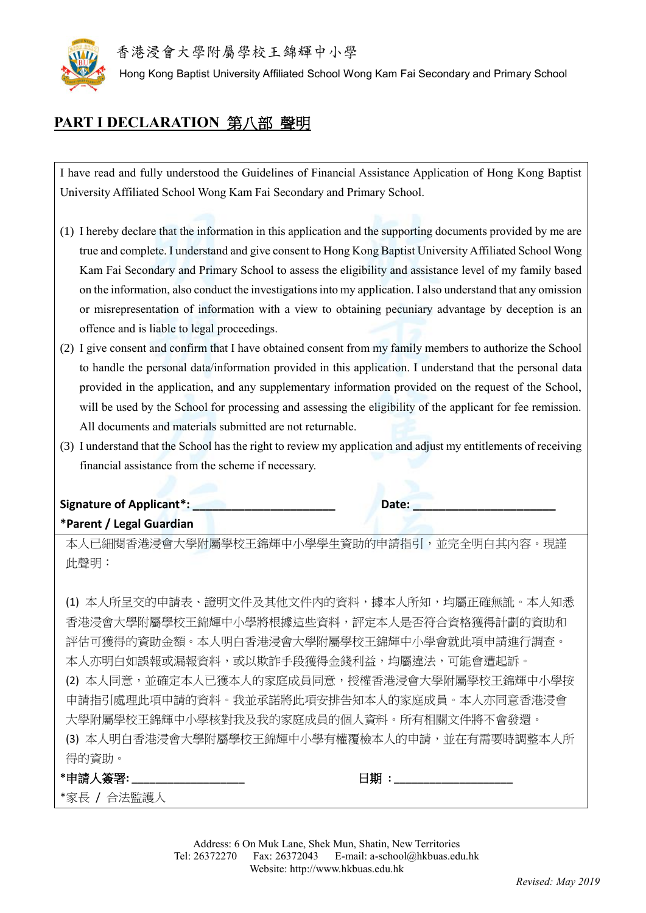

Hong Kong Baptist University Affiliated School Wong Kam Fai Secondary and Primary School

### **PART I DECLARATION** 第八部 聲明

I have read and fully understood the Guidelines of Financial Assistance Application of Hong Kong Baptist University Affiliated School Wong Kam Fai Secondary and Primary School.

- (1) I hereby declare that the information in this application and the supporting documents provided by me are true and complete. I understand and give consent to Hong Kong Baptist University Affiliated School Wong Kam Fai Secondary and Primary School to assess the eligibility and assistance level of my family based on the information, also conduct the investigations into my application. I also understand that any omission or misrepresentation of information with a view to obtaining pecuniary advantage by deception is an offence and is liable to legal proceedings.
- (2) I give consent and confirm that I have obtained consent from my family members to authorize the School to handle the personal data/information provided in this application. I understand that the personal data provided in the application, and any supplementary information provided on the request of the School, will be used by the School for processing and assessing the eligibility of the applicant for fee remission. All documents and materials submitted are not returnable.
- (3) I understand that the School has the right to review my application and adjust my entitlements of receiving financial assistance from the scheme if necessary.

#### **Signature of Applicant\*: Letter and Date: Letter and Date: \*Parent / Legal Guardian**

本人已細閱香港浸會大學附屬學校王錦輝中小學學生資助的申請指引,並完全明白其內容。現謹 此聲明:

(1) 本人所呈交的申請表、證明文件及其他文件內的資料,據本人所知,均屬正確無訛。本人知悉 香港浸會大學附屬學校王錦輝中小學將根據這些資料,評定本人是否符合資格獲得計劃的資助和 評估可獲得的資助金額。本人明白香港浸會大學附屬學校王錦輝中小學會就此項申請進行調查。 本人亦明白如誤報或漏報資料,或以欺詐手段獲得金錢利益,均屬違法,可能會遭起訴。 (2) 本人同意,並確定本人已獲本人的家庭成員同意,授權香港浸會大學附屬學校王錦輝中小學按 申請指引處理此項申請的資料。我並承諾將此項安排告知本人的家庭成員。本人亦同意香港浸會 大學附屬學校王錦輝中小學核對我及我的家庭成員的個人資料。所有相關文件將不會發還。 (3) 本人明白香港浸會大學附屬學校王錦輝中小學有權覆檢本人的申請,並在有需要時調整本人所 得的資助。

| .<br>*申請人簽署: | 日期 |
|--------------|----|
| *家長 / 合法監護人  |    |

Address: 6 On Muk Lane, Shek Mun, Shatin, New Territories Tel: 26372270 Fax: 26372043 E-mail: a-school@hkbuas.edu.hk Website: http://www.hkbuas.edu.hk